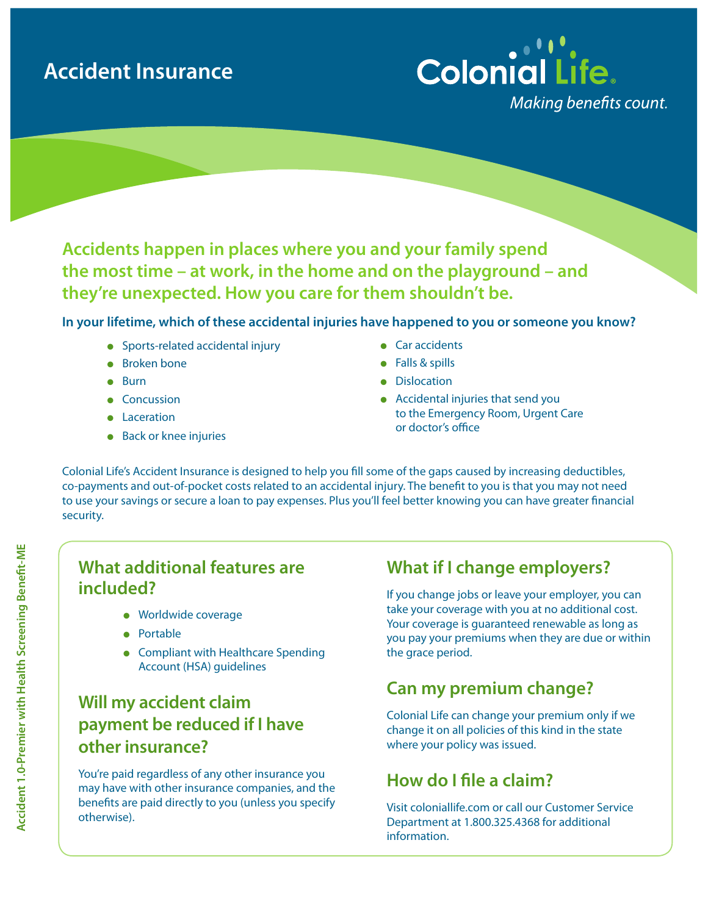# **Accident Insurance**



**Accidents happen in places where you and your family spend the most time – at work, in the home and on the playground – and they're unexpected. How you care for them shouldn't be.** 

**In your lifetime, which of these accidental injuries have happened to you or someone you know?**

- $\bullet$  Sports-related accidental injury
- **e** Broken bone
- $\bullet$  Burn
- Concussion
- Laceration
- $\bullet$  Back or knee injuries
- $\bullet$  Car accidents
- $\bullet$  Falls & spills
- **•** Dislocation
- $\bullet$  Accidental injuries that send you to the Emergency Room, Urgent Care or doctor's office

Colonial Life's Accident Insurance is designed to help you fill some of the gaps caused by increasing deductibles, co-payments and out-of-pocket costs related to an accidental injury. The benefit to you is that you may not need to use your savings or secure a loan to pay expenses. Plus you'll feel better knowing you can have greater financial security.

#### **What additional features are included?**

- **•** Worldwide coverage
- Portable
- Compliant with Healthcare Spending Account (HSA) guidelines

# **Will my accident claim payment be reduced if I have other insurance?**

You're paid regardless of any other insurance you may have with other insurance companies, and the benefits are paid directly to you (unless you specify otherwise).

## **What if I change employers?**

If you change jobs or leave your employer, you can take your coverage with you at no additional cost. Your coverage is guaranteed renewable as long as you pay your premiums when they are due or within the grace period.

# **Can my premium change?**

Colonial Life can change your premium only if we change it on all policies of this kind in the state where your policy was issued.

# **How do I file a claim?**

Visit coloniallife.com or call our Customer Service Department at 1.800.325.4368 for additional information.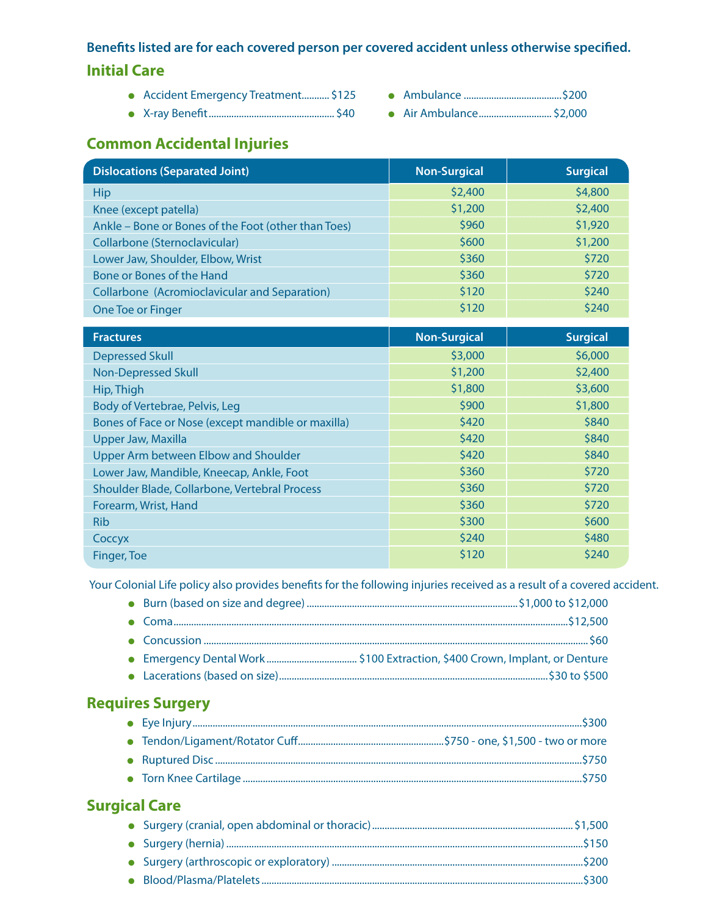## **Benefits listed are for each covered person per covered accident unless otherwise specified. Initial Care**

- <sup>l</sup> Accident Emergency Treatment........... \$125 <sup>l</sup> Ambulance .......................................\$200
- <sup>l</sup> X-ray Benefit.................................................. \$40 <sup>l</sup> Air Ambulance............................. \$2,000
- -

## **Common Accidental Injuries**

| <b>Dislocations (Separated Joint)</b>                | <b>Non-Surgical</b> | <b>Surgical</b> |
|------------------------------------------------------|---------------------|-----------------|
| <b>Hip</b>                                           | \$2,400             | \$4,800         |
| Knee (except patella)                                | \$1,200             | \$2,400         |
| Ankle - Bone or Bones of the Foot (other than Toes)  | \$960               | \$1,920         |
| Collarbone (Sternoclavicular)                        | \$600               | \$1,200         |
| Lower Jaw, Shoulder, Elbow, Wrist                    | \$360               | \$720           |
| Bone or Bones of the Hand                            | \$360               | \$720           |
| <b>Collarbone (Acromioclavicular and Separation)</b> | \$120               | \$240           |
| One Toe or Finger                                    | \$120               | \$240           |
|                                                      |                     |                 |
| <b>Fractures</b>                                     | <b>Non-Surgical</b> | <b>Surgical</b> |
| <b>Depressed Skull</b>                               | \$3,000             | \$6,000         |
| <b>Non-Depressed Skull</b>                           | \$1,200             | \$2,400         |
| Hip, Thigh                                           | \$1,800             | \$3,600         |
| Body of Vertebrae, Pelvis, Leg                       | \$900               | \$1,800         |
| Bones of Face or Nose (except mandible or maxilla)   | \$420               | \$840           |
| <b>Upper Jaw, Maxilla</b>                            | \$420               | \$840           |
| Upper Arm between Elbow and Shoulder                 | \$420               | \$840           |
| Lower Jaw, Mandible, Kneecap, Ankle, Foot            | \$360               | \$720           |
| Shoulder Blade, Collarbone, Vertebral Process        | \$360               | \$720           |
| Forearm, Wrist, Hand                                 | \$360               | \$720           |
| <b>Rib</b>                                           | \$300               | \$600           |
| Coccyx                                               | \$240               | \$480           |
| Finger, Toe                                          | \$120               | \$240           |

Your Colonial Life policy also provides benefits for the following injuries received as a result of a covered accident.

### **Requires Surgery**

#### **Surgical Care**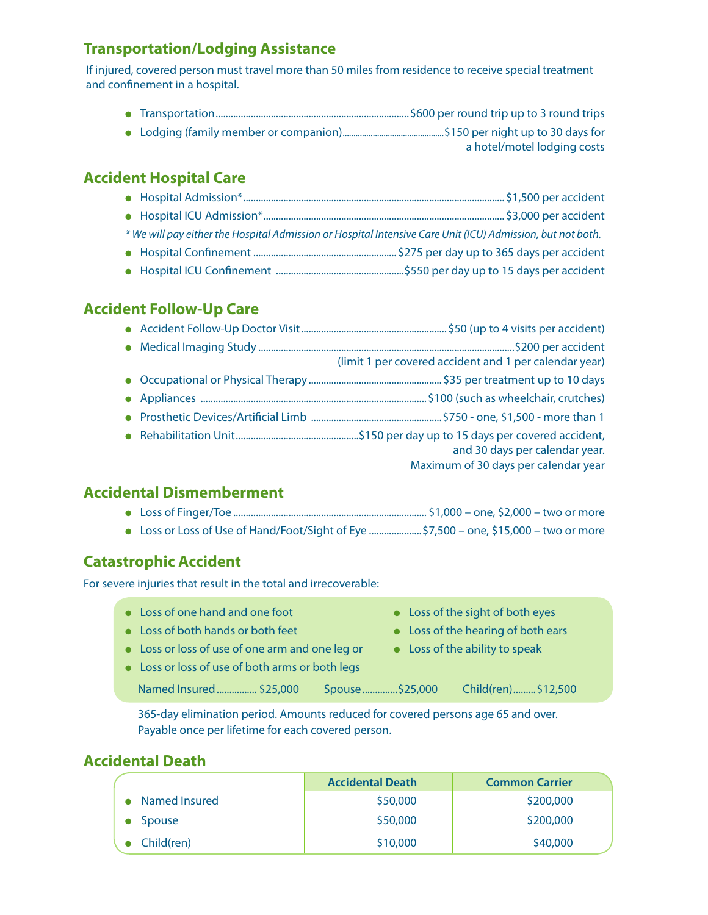#### **Transportation/Lodging Assistance**

If injured, covered person must travel more than 50 miles from residence to receive special treatment and confinement in a hospital.

|  | a hotel/motel lodging costs |
|--|-----------------------------|

#### **Accident Hospital Care**

| * We will pay either the Hospital Admission or Hospital Intensive Care Unit (ICU) Admission, but not both. |  |
|------------------------------------------------------------------------------------------------------------|--|
|                                                                                                            |  |
|                                                                                                            |  |

#### **Accident Follow-Up Care**

|  | (limit 1 per covered accident and 1 per calendar year)                 |
|--|------------------------------------------------------------------------|
|  |                                                                        |
|  |                                                                        |
|  |                                                                        |
|  | and 30 days per calendar year.<br>Maximum of 30 days per calendar year |
|  |                                                                        |

#### **Accidental Dismemberment**

| • Loss or Loss of Use of Hand/Foot/Sight of Eye \$7,500 – one, \$15,000 – two or more |  |
|---------------------------------------------------------------------------------------|--|

#### **Catastrophic Accident**

For severe injuries that result in the total and irrecoverable:

- Loss of one hand and one foot **last of the sight of both eyes**
- Loss of both hands or both feet **last contained by Loss of the hearing of both ears**
- -
- Loss or loss of use of one arm and one leg or <br>• Loss of the ability to speak
- Loss or loss of use of both arms or both legs
- 
- 
- 
- Named Insured................. \$25,000 Spouse...............\$25,000 Child(ren)..........\$12,500

365-day elimination period. Amounts reduced for covered persons age 65 and over. Payable once per lifetime for each covered person.

#### **Accidental Death**

|               | <b>Accidental Death</b> | <b>Common Carrier</b> |
|---------------|-------------------------|-----------------------|
| Named Insured | \$50,000                | \$200,000             |
| Spouse        | \$50,000                | \$200,000             |
| Child(ren)    | \$10,000                | \$40,000              |